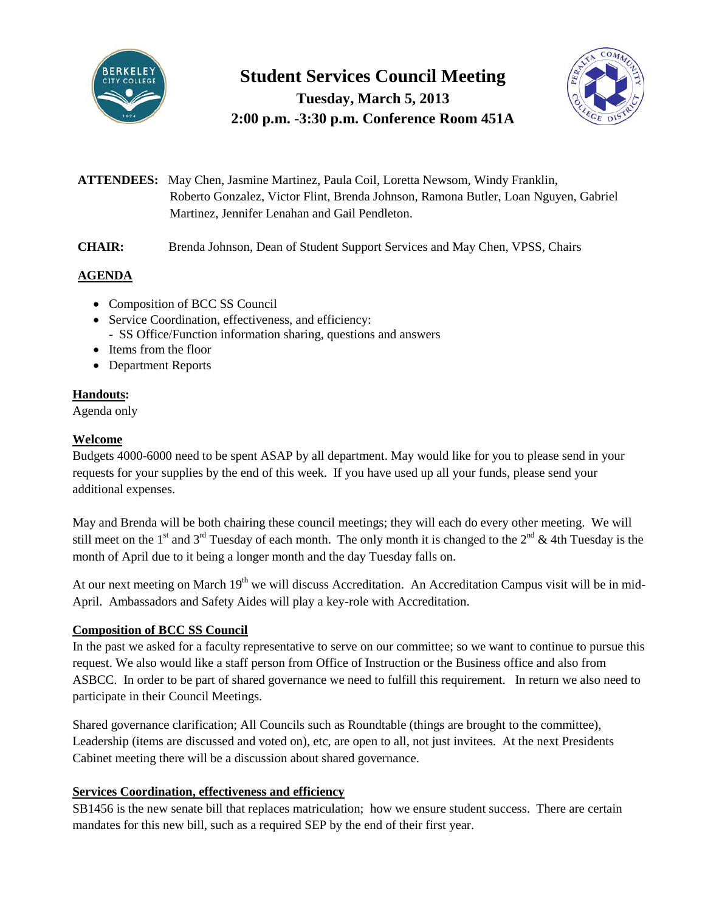

# **Student Services Council Meeting Tuesday, March 5, 2013 2:00 p.m. -3:30 p.m. Conference Room 451A**



- **ATTENDEES:** May Chen, Jasmine Martinez, Paula Coil, Loretta Newsom, Windy Franklin, Roberto Gonzalez, Victor Flint, Brenda Johnson, Ramona Butler, Loan Nguyen, Gabriel Martinez, Jennifer Lenahan and Gail Pendleton.
- **CHAIR:** Brenda Johnson, Dean of Student Support Services and May Chen, VPSS, Chairs

# **AGENDA**

- Composition of BCC SS Council
- Service Coordination, effectiveness, and efficiency: - SS Office/Function information sharing, questions and answers
- Items from the floor
- Department Reports

# **Handouts:**

Agenda only

## **Welcome**

Budgets 4000-6000 need to be spent ASAP by all department. May would like for you to please send in your requests for your supplies by the end of this week. If you have used up all your funds, please send your additional expenses.

May and Brenda will be both chairing these council meetings; they will each do every other meeting. We will still meet on the 1<sup>st</sup> and 3<sup>rd</sup> Tuesday of each month. The only month it is changed to the 2<sup>nd</sup> & 4th Tuesday is the month of April due to it being a longer month and the day Tuesday falls on.

At our next meeting on March  $19<sup>th</sup>$  we will discuss Accreditation. An Accreditation Campus visit will be in mid-April. Ambassadors and Safety Aides will play a key-role with Accreditation.

# **Composition of BCC SS Council**

In the past we asked for a faculty representative to serve on our committee; so we want to continue to pursue this request. We also would like a staff person from Office of Instruction or the Business office and also from ASBCC. In order to be part of shared governance we need to fulfill this requirement. In return we also need to participate in their Council Meetings.

Shared governance clarification; All Councils such as Roundtable (things are brought to the committee), Leadership (items are discussed and voted on), etc, are open to all, not just invitees. At the next Presidents Cabinet meeting there will be a discussion about shared governance.

#### **Services Coordination, effectiveness and efficiency**

SB1456 is the new senate bill that replaces matriculation; how we ensure student success. There are certain mandates for this new bill, such as a required SEP by the end of their first year.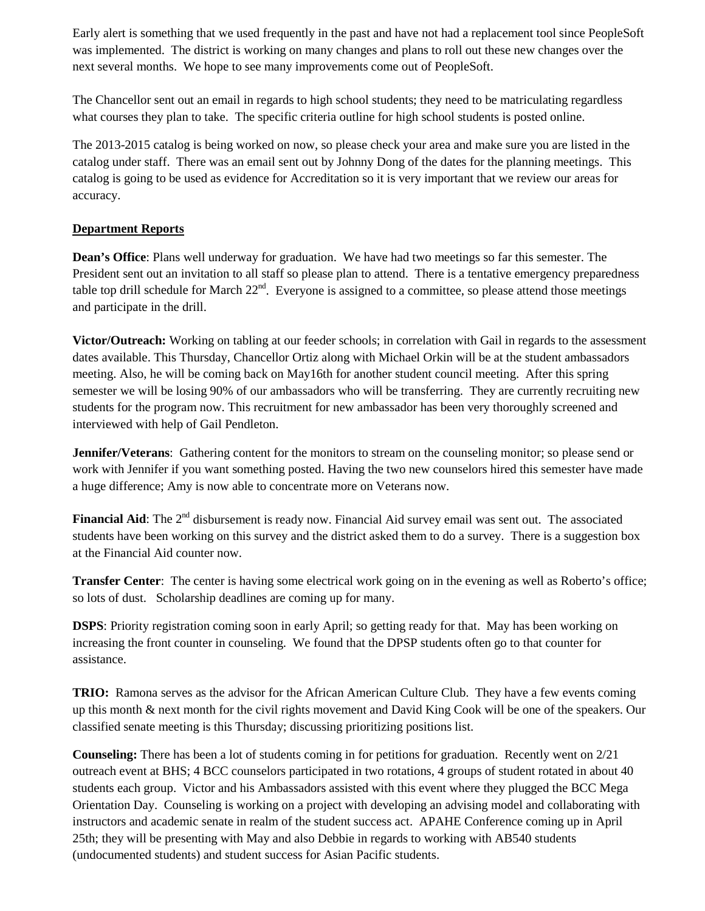Early alert is something that we used frequently in the past and have not had a replacement tool since PeopleSoft was implemented. The district is working on many changes and plans to roll out these new changes over the next several months. We hope to see many improvements come out of PeopleSoft.

The Chancellor sent out an email in regards to high school students; they need to be matriculating regardless what courses they plan to take. The specific criteria outline for high school students is posted online.

The 2013-2015 catalog is being worked on now, so please check your area and make sure you are listed in the catalog under staff. There was an email sent out by Johnny Dong of the dates for the planning meetings. This catalog is going to be used as evidence for Accreditation so it is very important that we review our areas for accuracy.

#### **Department Reports**

**Dean's Office**: Plans well underway for graduation. We have had two meetings so far this semester. The President sent out an invitation to all staff so please plan to attend. There is a tentative emergency preparedness table top drill schedule for March  $22^{nd}$ . Everyone is assigned to a committee, so please attend those meetings and participate in the drill.

**Victor/Outreach:** Working on tabling at our feeder schools; in correlation with Gail in regards to the assessment dates available. This Thursday, Chancellor Ortiz along with Michael Orkin will be at the student ambassadors meeting. Also, he will be coming back on May16th for another student council meeting. After this spring semester we will be losing 90% of our ambassadors who will be transferring. They are currently recruiting new students for the program now. This recruitment for new ambassador has been very thoroughly screened and interviewed with help of Gail Pendleton.

**Jennifer/Veterans**: Gathering content for the monitors to stream on the counseling monitor; so please send or work with Jennifer if you want something posted. Having the two new counselors hired this semester have made a huge difference; Amy is now able to concentrate more on Veterans now.

**Financial Aid**: The 2<sup>nd</sup> disbursement is ready now. Financial Aid survey email was sent out. The associated students have been working on this survey and the district asked them to do a survey. There is a suggestion box at the Financial Aid counter now.

**Transfer Center**: The center is having some electrical work going on in the evening as well as Roberto's office; so lots of dust. Scholarship deadlines are coming up for many.

**DSPS**: Priority registration coming soon in early April; so getting ready for that. May has been working on increasing the front counter in counseling. We found that the DPSP students often go to that counter for assistance.

**TRIO:** Ramona serves as the advisor for the African American Culture Club. They have a few events coming up this month & next month for the civil rights movement and David King Cook will be one of the speakers. Our classified senate meeting is this Thursday; discussing prioritizing positions list.

**Counseling:** There has been a lot of students coming in for petitions for graduation. Recently went on 2/21 outreach event at BHS; 4 BCC counselors participated in two rotations, 4 groups of student rotated in about 40 students each group. Victor and his Ambassadors assisted with this event where they plugged the BCC Mega Orientation Day. Counseling is working on a project with developing an advising model and collaborating with instructors and academic senate in realm of the student success act. APAHE Conference coming up in April 25th; they will be presenting with May and also Debbie in regards to working with AB540 students (undocumented students) and student success for Asian Pacific students.